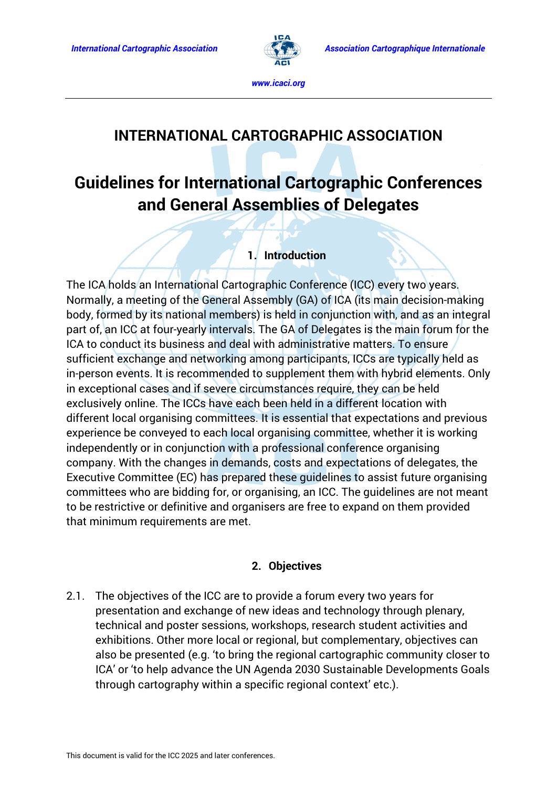

# **INTERNATIONAL CARTOGRAPHIC ASSOCIATION**

# **Guidelines for International Cartographic Conferences and General Assemblies of Delegates**

#### **1. Introduction**

The ICA holds an International Cartographic Conference (ICC) every two years. Normally, a meeting of the General Assembly (GA) of ICA (its main decision-making body, formed by its national members) is held in conjunction with, and as an integral part of, an ICC at four-yearly intervals. The GA of Delegates is the main forum for the ICA to conduct its business and deal with administrative matters. To ensure sufficient exchange and networking among participants, ICCs are typically held as in-person events. It is recommended to supplement them with hybrid elements. Only in exceptional cases and if severe circumstances require, they can be held exclusively online. The ICCs have each been held in a different location with different local organising committees. It is essential that expectations and previous experience be conveyed to each local organising committee, whether it is working independently or in conjunction with a professional conference organising company. With the changes in demands, costs and expectations of delegates, the Executive Committee (EC) has prepared these guidelines to assist future organising committees who are bidding for, or organising, an ICC. The guidelines are not meant to be restrictive or definitive and organisers are free to expand on them provided that minimum requirements are met.

#### **2. Objectives**

2.1. The objectives of the ICC are to provide a forum every two years for presentation and exchange of new ideas and technology through plenary, technical and poster sessions, workshops, research student activities and exhibitions. Other more local or regional, but complementary, objectives can also be presented (e.g. 'to bring the regional cartographic community closer to ICA' or 'to help advance the UN Agenda 2030 Sustainable Developments Goals through cartography within a specific regional context' etc.).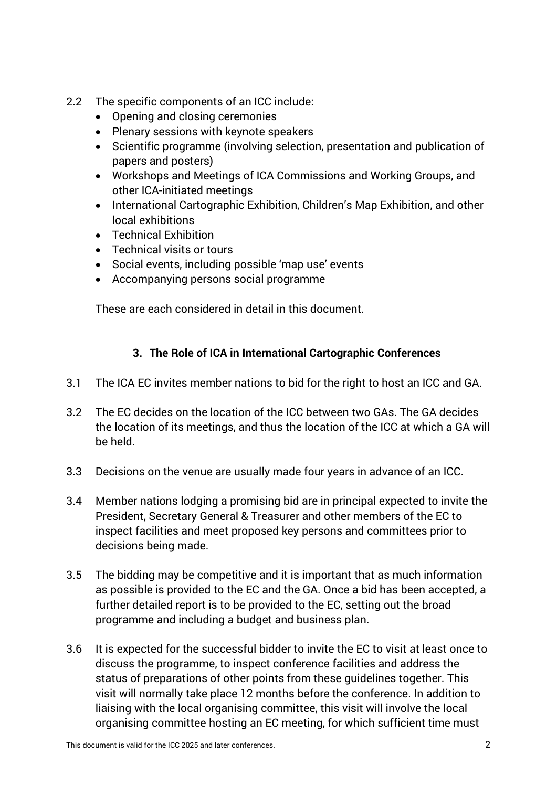- 2.2 The specific components of an ICC include:
	- Opening and closing ceremonies
	- Plenary sessions with keynote speakers
	- Scientific programme (involving selection, presentation and publication of papers and posters)
	- Workshops and Meetings of ICA Commissions and Working Groups, and other ICA-initiated meetings
	- International Cartographic Exhibition, Children's Map Exhibition, and other local exhibitions
	- Technical Exhibition
	- Technical visits or tours
	- Social events, including possible 'map use' events
	- Accompanying persons social programme

These are each considered in detail in this document.

# **3. The Role of ICA in International Cartographic Conferences**

- 3.1 The ICA EC invites member nations to bid for the right to host an ICC and GA.
- 3.2 The EC decides on the location of the ICC between two GAs. The GA decides the location of its meetings, and thus the location of the ICC at which a GA will be held.
- 3.3 Decisions on the venue are usually made four years in advance of an ICC.
- 3.4 Member nations lodging a promising bid are in principal expected to invite the President, Secretary General & Treasurer and other members of the EC to inspect facilities and meet proposed key persons and committees prior to decisions being made.
- 3.5 The bidding may be competitive and it is important that as much information as possible is provided to the EC and the GA. Once a bid has been accepted, a further detailed report is to be provided to the EC, setting out the broad programme and including a budget and business plan.
- 3.6 It is expected for the successful bidder to invite the EC to visit at least once to discuss the programme, to inspect conference facilities and address the status of preparations of other points from these guidelines together. This visit will normally take place 12 months before the conference. In addition to liaising with the local organising committee, this visit will involve the local organising committee hosting an EC meeting, for which sufficient time must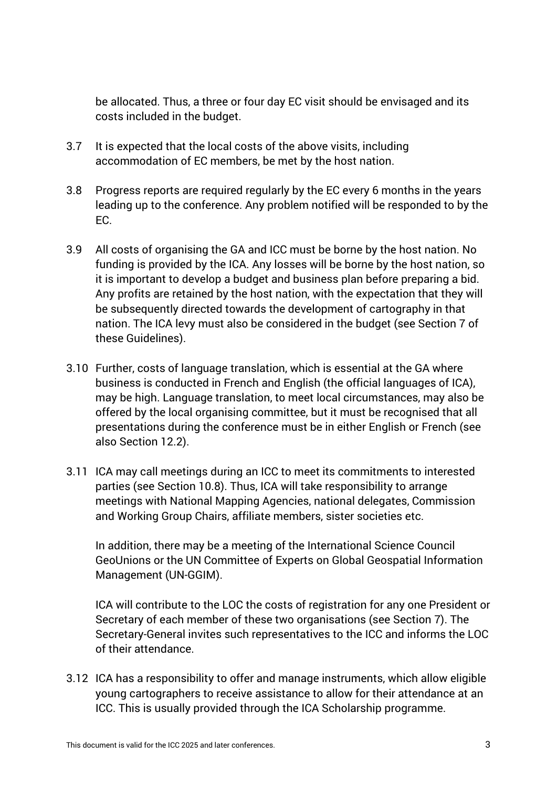be allocated. Thus, a three or four day EC visit should be envisaged and its costs included in the budget.

- 3.7 It is expected that the local costs of the above visits, including accommodation of EC members, be met by the host nation.
- 3.8 Progress reports are required regularly by the EC every 6 months in the years leading up to the conference. Any problem notified will be responded to by the EC.
- 3.9 All costs of organising the GA and ICC must be borne by the host nation. No funding is provided by the ICA. Any losses will be borne by the host nation, so it is important to develop a budget and business plan before preparing a bid. Any profits are retained by the host nation, with the expectation that they will be subsequently directed towards the development of cartography in that nation. The ICA levy must also be considered in the budget (see Section 7 of these Guidelines).
- 3.10 Further, costs of language translation, which is essential at the GA where business is conducted in French and English (the official languages of ICA), may be high. Language translation, to meet local circumstances, may also be offered by the local organising committee, but it must be recognised that all presentations during the conference must be in either English or French (see also Section 12.2).
- 3.11 ICA may call meetings during an ICC to meet its commitments to interested parties (see Section 10.8). Thus, ICA will take responsibility to arrange meetings with National Mapping Agencies, national delegates, Commission and Working Group Chairs, affiliate members, sister societies etc.

In addition, there may be a meeting of the International Science Council GeoUnions or the UN Committee of Experts on Global Geospatial Information Management (UN-GGIM).

ICA will contribute to the LOC the costs of registration for any one President or Secretary of each member of these two organisations (see Section 7). The Secretary-General invites such representatives to the ICC and informs the LOC of their attendance.

3.12 ICA has a responsibility to offer and manage instruments, which allow eligible young cartographers to receive assistance to allow for their attendance at an ICC. This is usually provided through the ICA Scholarship programme.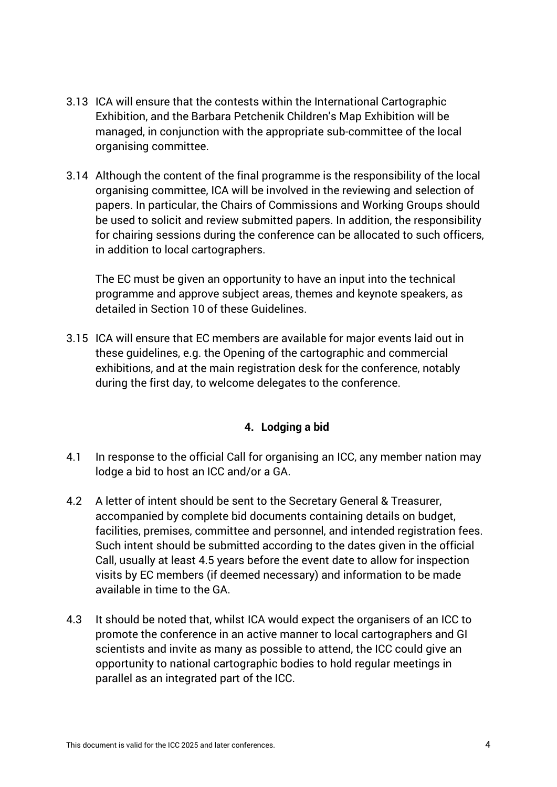- 3.13 ICA will ensure that the contests within the International Cartographic Exhibition, and the Barbara Petchenik Children's Map Exhibition will be managed, in conjunction with the appropriate sub-committee of the local organising committee.
- 3.14 Although the content of the final programme is the responsibility of the local organising committee, ICA will be involved in the reviewing and selection of papers. In particular, the Chairs of Commissions and Working Groups should be used to solicit and review submitted papers. In addition, the responsibility for chairing sessions during the conference can be allocated to such officers, in addition to local cartographers.

The EC must be given an opportunity to have an input into the technical programme and approve subject areas, themes and keynote speakers, as detailed in Section 10 of these Guidelines.

3.15 ICA will ensure that EC members are available for major events laid out in these guidelines, e.g. the Opening of the cartographic and commercial exhibitions, and at the main registration desk for the conference, notably during the first day, to welcome delegates to the conference.

# **4. Lodging a bid**

- 4.1 In response to the official Call for organising an ICC, any member nation may lodge a bid to host an ICC and/or a GA.
- 4.2 A letter of intent should be sent to the Secretary General & Treasurer, accompanied by complete bid documents containing details on budget, facilities, premises, committee and personnel, and intended registration fees. Such intent should be submitted according to the dates given in the official Call, usually at least 4.5 years before the event date to allow for inspection visits by EC members (if deemed necessary) and information to be made available in time to the GA.
- 4.3 It should be noted that, whilst ICA would expect the organisers of an ICC to promote the conference in an active manner to local cartographers and GI scientists and invite as many as possible to attend, the ICC could give an opportunity to national cartographic bodies to hold regular meetings in parallel as an integrated part of the ICC.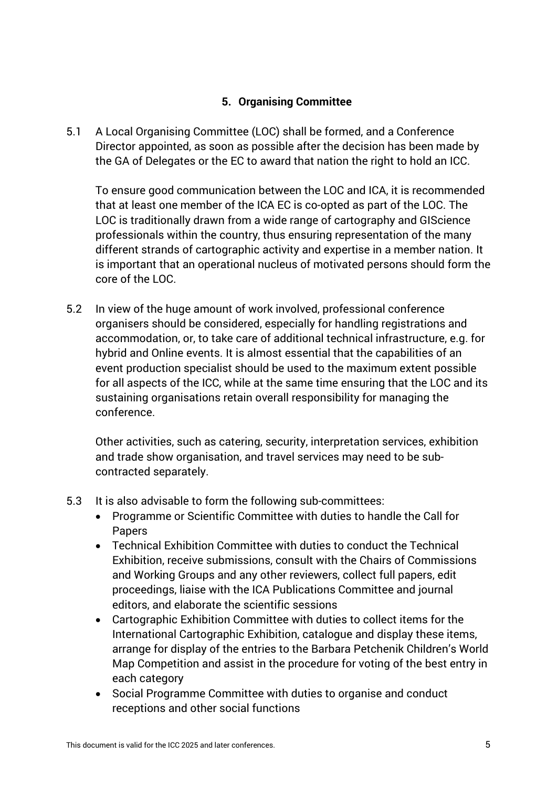#### **5. Organising Committee**

5.1 A Local Organising Committee (LOC) shall be formed, and a Conference Director appointed, as soon as possible after the decision has been made by the GA of Delegates or the EC to award that nation the right to hold an ICC.

To ensure good communication between the LOC and ICA, it is recommended that at least one member of the ICA EC is co-opted as part of the LOC. The LOC is traditionally drawn from a wide range of cartography and GIScience professionals within the country, thus ensuring representation of the many different strands of cartographic activity and expertise in a member nation. It is important that an operational nucleus of motivated persons should form the core of the LOC.

5.2 In view of the huge amount of work involved, professional conference organisers should be considered, especially for handling registrations and accommodation, or, to take care of additional technical infrastructure, e.g. for hybrid and Online events. It is almost essential that the capabilities of an event production specialist should be used to the maximum extent possible for all aspects of the ICC, while at the same time ensuring that the LOC and its sustaining organisations retain overall responsibility for managing the conference.

Other activities, such as catering, security, interpretation services, exhibition and trade show organisation, and travel services may need to be subcontracted separately.

- 5.3 It is also advisable to form the following sub-committees:
	- Programme or Scientific Committee with duties to handle the Call for Papers
	- Technical Exhibition Committee with duties to conduct the Technical Exhibition, receive submissions, consult with the Chairs of Commissions and Working Groups and any other reviewers, collect full papers, edit proceedings, liaise with the ICA Publications Committee and journal editors, and elaborate the scientific sessions
	- Cartographic Exhibition Committee with duties to collect items for the International Cartographic Exhibition, catalogue and display these items, arrange for display of the entries to the Barbara Petchenik Children's World Map Competition and assist in the procedure for voting of the best entry in each category
	- Social Programme Committee with duties to organise and conduct receptions and other social functions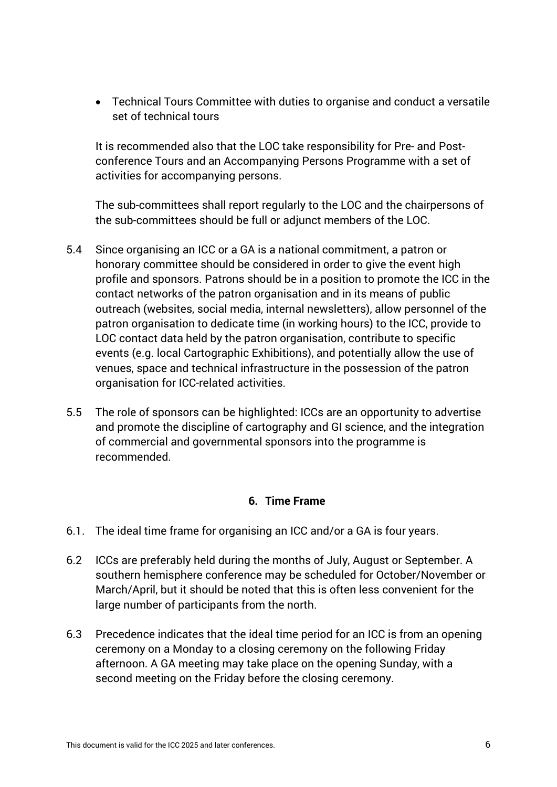• Technical Tours Committee with duties to organise and conduct a versatile set of technical tours

It is recommended also that the LOC take responsibility for Pre- and Postconference Tours and an Accompanying Persons Programme with a set of activities for accompanying persons.

The sub-committees shall report regularly to the LOC and the chairpersons of the sub-committees should be full or adjunct members of the LOC.

- 5.4 Since organising an ICC or a GA is a national commitment, a patron or honorary committee should be considered in order to give the event high profile and sponsors. Patrons should be in a position to promote the ICC in the contact networks of the patron organisation and in its means of public outreach (websites, social media, internal newsletters), allow personnel of the patron organisation to dedicate time (in working hours) to the ICC, provide to LOC contact data held by the patron organisation, contribute to specific events (e.g. local Cartographic Exhibitions), and potentially allow the use of venues, space and technical infrastructure in the possession of the patron organisation for ICC-related activities.
- 5.5 The role of sponsors can be highlighted: ICCs are an opportunity to advertise and promote the discipline of cartography and GI science, and the integration of commercial and governmental sponsors into the programme is recommended.

#### **6. Time Frame**

- 6.1. The ideal time frame for organising an ICC and/or a GA is four years.
- 6.2 ICCs are preferably held during the months of July, August or September. A southern hemisphere conference may be scheduled for October/November or March/April, but it should be noted that this is often less convenient for the large number of participants from the north.
- 6.3 Precedence indicates that the ideal time period for an ICC is from an opening ceremony on a Monday to a closing ceremony on the following Friday afternoon. A GA meeting may take place on the opening Sunday, with a second meeting on the Friday before the closing ceremony.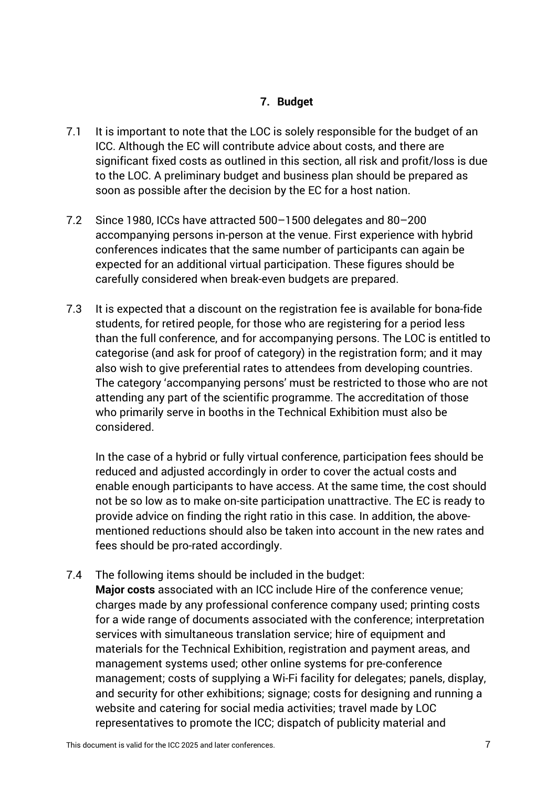#### **7. Budget**

- 7.1 It is important to note that the LOC is solely responsible for the budget of an ICC. Although the EC will contribute advice about costs, and there are significant fixed costs as outlined in this section, all risk and profit/loss is due to the LOC. A preliminary budget and business plan should be prepared as soon as possible after the decision by the EC for a host nation.
- 7.2 Since 1980, ICCs have attracted 500–1500 delegates and 80–200 accompanying persons in-person at the venue. First experience with hybrid conferences indicates that the same number of participants can again be expected for an additional virtual participation. These figures should be carefully considered when break-even budgets are prepared.
- 7.3 It is expected that a discount on the registration fee is available for bona-fide students, for retired people, for those who are registering for a period less than the full conference, and for accompanying persons. The LOC is entitled to categorise (and ask for proof of category) in the registration form; and it may also wish to give preferential rates to attendees from developing countries. The category 'accompanying persons' must be restricted to those who are not attending any part of the scientific programme. The accreditation of those who primarily serve in booths in the Technical Exhibition must also be considered.

In the case of a hybrid or fully virtual conference, participation fees should be reduced and adjusted accordingly in order to cover the actual costs and enable enough participants to have access. At the same time, the cost should not be so low as to make on-site participation unattractive. The EC is ready to provide advice on finding the right ratio in this case. In addition, the abovementioned reductions should also be taken into account in the new rates and fees should be pro-rated accordingly.

7.4 The following items should be included in the budget: **Major costs** associated with an ICC include Hire of the conference venue; charges made by any professional conference company used; printing costs for a wide range of documents associated with the conference; interpretation services with simultaneous translation service; hire of equipment and materials for the Technical Exhibition, registration and payment areas, and management systems used; other online systems for pre-conference management; costs of supplying a Wi-Fi facility for delegates; panels, display, and security for other exhibitions; signage; costs for designing and running a website and catering for social media activities; travel made by LOC representatives to promote the ICC; dispatch of publicity material and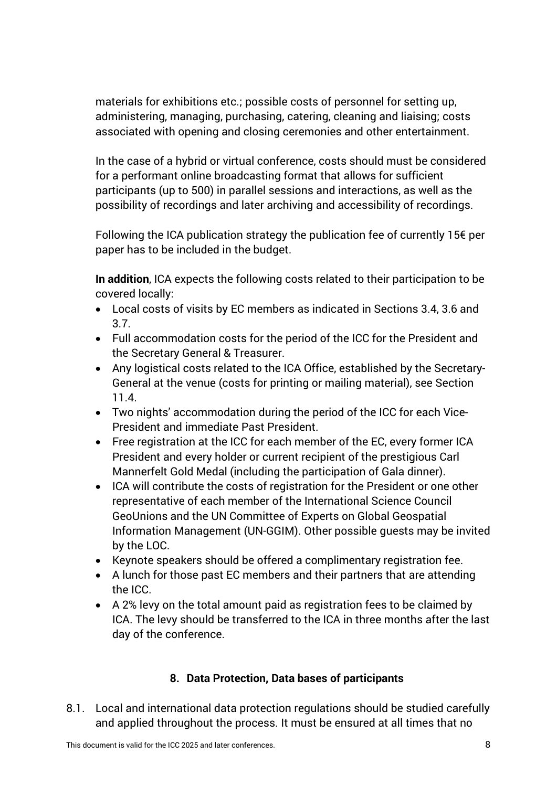materials for exhibitions etc.; possible costs of personnel for setting up, administering, managing, purchasing, catering, cleaning and liaising; costs associated with opening and closing ceremonies and other entertainment.

In the case of a hybrid or virtual conference, costs should must be considered for a performant online broadcasting format that allows for sufficient participants (up to 500) in parallel sessions and interactions, as well as the possibility of recordings and later archiving and accessibility of recordings.

Following the ICA publication strategy the publication fee of currently 15€ per paper has to be included in the budget.

**In addition**, ICA expects the following costs related to their participation to be covered locally:

- Local costs of visits by EC members as indicated in Sections 3.4, 3.6 and 3.7.
- Full accommodation costs for the period of the ICC for the President and the Secretary General & Treasurer.
- Any logistical costs related to the ICA Office, established by the Secretary-General at the venue (costs for printing or mailing material), see Section 11.4.
- Two nights' accommodation during the period of the ICC for each Vice-President and immediate Past President.
- Free registration at the ICC for each member of the EC, every former ICA President and every holder or current recipient of the prestigious Carl Mannerfelt Gold Medal (including the participation of Gala dinner).
- ICA will contribute the costs of registration for the President or one other representative of each member of the International Science Council GeoUnions and the UN Committee of Experts on Global Geospatial Information Management (UN-GGIM). Other possible guests may be invited by the LOC.
- Keynote speakers should be offered a complimentary registration fee.
- A lunch for those past EC members and their partners that are attending the ICC.
- A 2% levy on the total amount paid as registration fees to be claimed by ICA. The levy should be transferred to the ICA in three months after the last day of the conference.

# **8. Data Protection, Data bases of participants**

8.1. Local and international data protection regulations should be studied carefully and applied throughout the process. It must be ensured at all times that no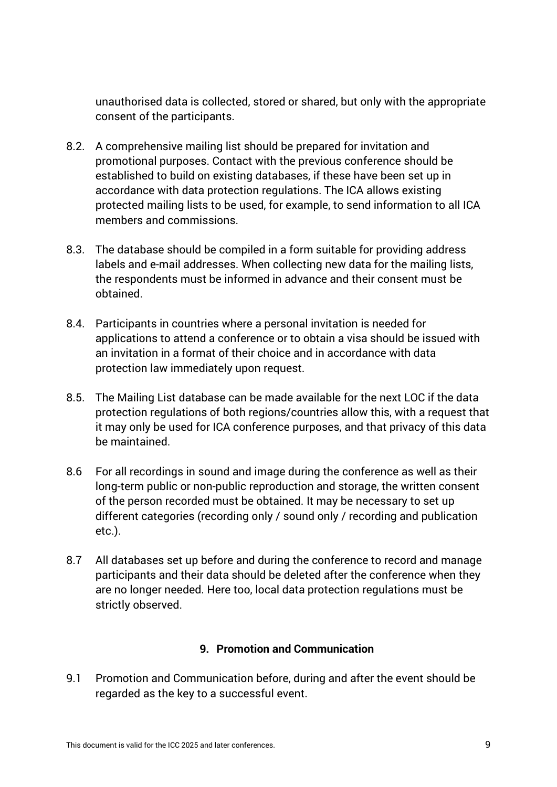unauthorised data is collected, stored or shared, but only with the appropriate consent of the participants.

- 8.2. A comprehensive mailing list should be prepared for invitation and promotional purposes. Contact with the previous conference should be established to build on existing databases, if these have been set up in accordance with data protection regulations. The ICA allows existing protected mailing lists to be used, for example, to send information to all ICA members and commissions.
- 8.3. The database should be compiled in a form suitable for providing address labels and e-mail addresses. When collecting new data for the mailing lists, the respondents must be informed in advance and their consent must be obtained.
- 8.4. Participants in countries where a personal invitation is needed for applications to attend a conference or to obtain a visa should be issued with an invitation in a format of their choice and in accordance with data protection law immediately upon request.
- 8.5. The Mailing List database can be made available for the next LOC if the data protection regulations of both regions/countries allow this, with a request that it may only be used for ICA conference purposes, and that privacy of this data be maintained.
- 8.6 For all recordings in sound and image during the conference as well as their long-term public or non-public reproduction and storage, the written consent of the person recorded must be obtained. It may be necessary to set up different categories (recording only / sound only / recording and publication etc.).
- 8.7 All databases set up before and during the conference to record and manage participants and their data should be deleted after the conference when they are no longer needed. Here too, local data protection regulations must be strictly observed.

#### **9. Promotion and Communication**

9.1 Promotion and Communication before, during and after the event should be regarded as the key to a successful event.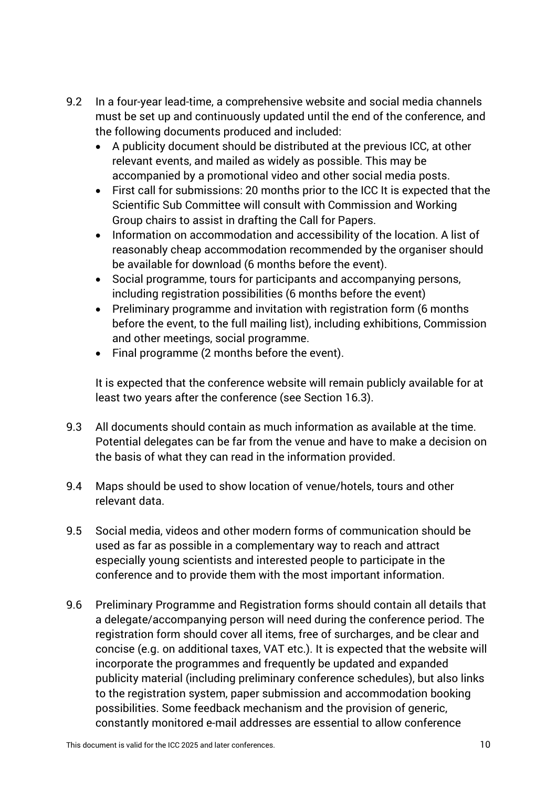- 9.2 In a four-year lead-time, a comprehensive website and social media channels must be set up and continuously updated until the end of the conference, and the following documents produced and included:
	- A publicity document should be distributed at the previous ICC, at other relevant events, and mailed as widely as possible. This may be accompanied by a promotional video and other social media posts.
	- First call for submissions: 20 months prior to the ICC It is expected that the Scientific Sub Committee will consult with Commission and Working Group chairs to assist in drafting the Call for Papers.
	- Information on accommodation and accessibility of the location. A list of reasonably cheap accommodation recommended by the organiser should be available for download (6 months before the event).
	- Social programme, tours for participants and accompanying persons, including registration possibilities (6 months before the event)
	- Preliminary programme and invitation with registration form (6 months before the event, to the full mailing list), including exhibitions, Commission and other meetings, social programme.
	- Final programme (2 months before the event).

It is expected that the conference website will remain publicly available for at least two years after the conference (see Section 16.3).

- 9.3 All documents should contain as much information as available at the time. Potential delegates can be far from the venue and have to make a decision on the basis of what they can read in the information provided.
- 9.4 Maps should be used to show location of venue/hotels, tours and other relevant data.
- 9.5 Social media, videos and other modern forms of communication should be used as far as possible in a complementary way to reach and attract especially young scientists and interested people to participate in the conference and to provide them with the most important information.
- 9.6 Preliminary Programme and Registration forms should contain all details that a delegate/accompanying person will need during the conference period. The registration form should cover all items, free of surcharges, and be clear and concise (e.g. on additional taxes, VAT etc.). It is expected that the website will incorporate the programmes and frequently be updated and expanded publicity material (including preliminary conference schedules), but also links to the registration system, paper submission and accommodation booking possibilities. Some feedback mechanism and the provision of generic, constantly monitored e-mail addresses are essential to allow conference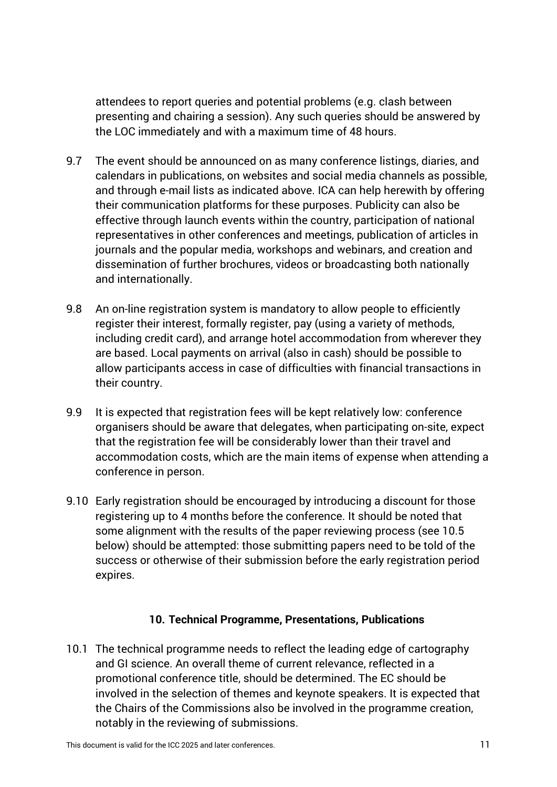attendees to report queries and potential problems (e.g. clash between presenting and chairing a session). Any such queries should be answered by the LOC immediately and with a maximum time of 48 hours.

- 9.7 The event should be announced on as many conference listings, diaries, and calendars in publications, on websites and social media channels as possible, and through e-mail lists as indicated above. ICA can help herewith by offering their communication platforms for these purposes. Publicity can also be effective through launch events within the country, participation of national representatives in other conferences and meetings, publication of articles in journals and the popular media, workshops and webinars, and creation and dissemination of further brochures, videos or broadcasting both nationally and internationally.
- 9.8 An on-line registration system is mandatory to allow people to efficiently register their interest, formally register, pay (using a variety of methods, including credit card), and arrange hotel accommodation from wherever they are based. Local payments on arrival (also in cash) should be possible to allow participants access in case of difficulties with financial transactions in their country.
- 9.9 It is expected that registration fees will be kept relatively low: conference organisers should be aware that delegates, when participating on-site, expect that the registration fee will be considerably lower than their travel and accommodation costs, which are the main items of expense when attending a conference in person.
- 9.10 Early registration should be encouraged by introducing a discount for those registering up to 4 months before the conference. It should be noted that some alignment with the results of the paper reviewing process (see 10.5 below) should be attempted: those submitting papers need to be told of the success or otherwise of their submission before the early registration period expires.

#### **10. Technical Programme, Presentations, Publications**

10.1 The technical programme needs to reflect the leading edge of cartography and GI science. An overall theme of current relevance, reflected in a promotional conference title, should be determined. The EC should be involved in the selection of themes and keynote speakers. It is expected that the Chairs of the Commissions also be involved in the programme creation, notably in the reviewing of submissions.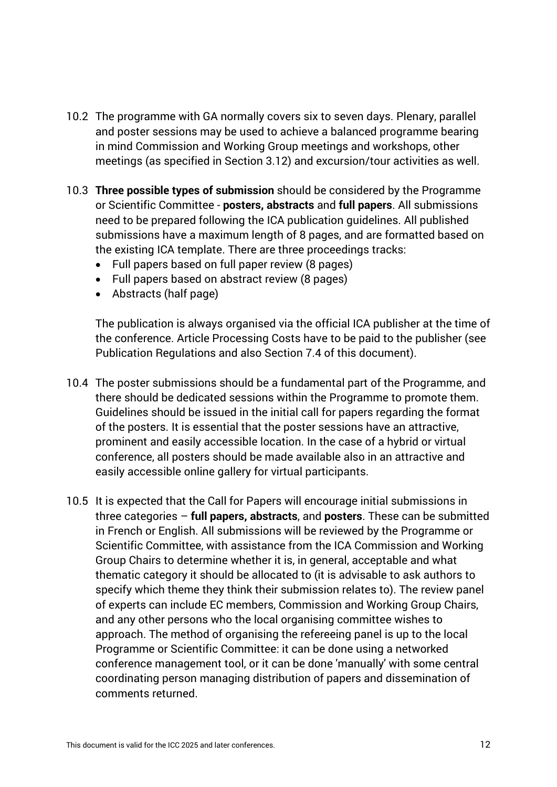- 10.2 The programme with GA normally covers six to seven days. Plenary, parallel and poster sessions may be used to achieve a balanced programme bearing in mind Commission and Working Group meetings and workshops, other meetings (as specified in Section 3.12) and excursion/tour activities as well.
- 10.3 **Three possible types of submission** should be considered by the Programme or Scientific Committee - **posters, abstracts** and **full papers**. All submissions need to be prepared following the ICA publication guidelines. All published submissions have a maximum length of 8 pages, and are formatted based on the existing ICA template. There are three proceedings tracks:
	- Full papers based on full paper review (8 pages)
	- Full papers based on abstract review (8 pages)
	- Abstracts (half page)

The publication is always organised via the official ICA publisher at the time of the conference. Article Processing Costs have to be paid to the publisher (see Publication Regulations and also Section 7.4 of this document).

- 10.4 The poster submissions should be a fundamental part of the Programme, and there should be dedicated sessions within the Programme to promote them. Guidelines should be issued in the initial call for papers regarding the format of the posters. It is essential that the poster sessions have an attractive, prominent and easily accessible location. In the case of a hybrid or virtual conference, all posters should be made available also in an attractive and easily accessible online gallery for virtual participants.
- 10.5 It is expected that the Call for Papers will encourage initial submissions in three categories – **full papers, abstracts**, and **posters**. These can be submitted in French or English. All submissions will be reviewed by the Programme or Scientific Committee, with assistance from the ICA Commission and Working Group Chairs to determine whether it is, in general, acceptable and what thematic category it should be allocated to (it is advisable to ask authors to specify which theme they think their submission relates to). The review panel of experts can include EC members, Commission and Working Group Chairs, and any other persons who the local organising committee wishes to approach. The method of organising the refereeing panel is up to the local Programme or Scientific Committee: it can be done using a networked conference management tool, or it can be done 'manually' with some central coordinating person managing distribution of papers and dissemination of comments returned.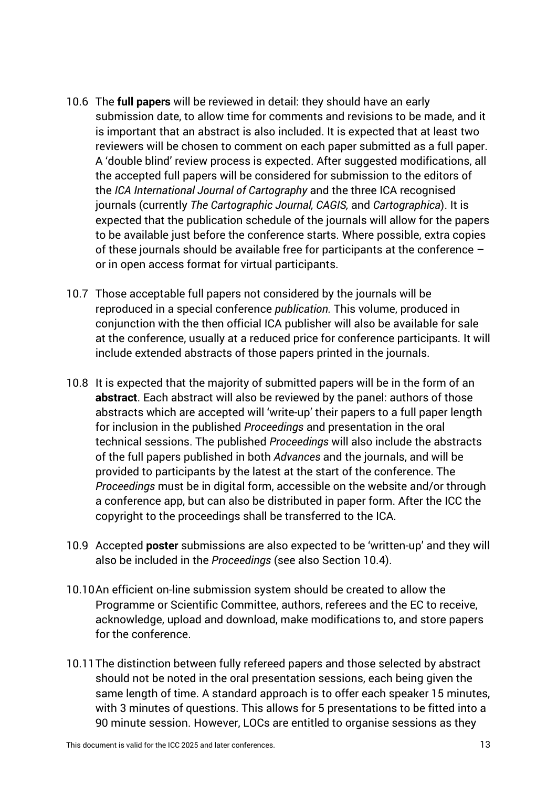- 10.6 The **full papers** will be reviewed in detail: they should have an early submission date, to allow time for comments and revisions to be made, and it is important that an abstract is also included. It is expected that at least two reviewers will be chosen to comment on each paper submitted as a full paper. A 'double blind' review process is expected. After suggested modifications, all the accepted full papers will be considered for submission to the editors of the *ICA International Journal of Cartography* and the three ICA recognised journals (currently *The Cartographic Journal, CAGIS,* and *Cartographica*). It is expected that the publication schedule of the journals will allow for the papers to be available just before the conference starts. Where possible, extra copies of these journals should be available free for participants at the conference – or in open access format for virtual participants.
- 10.7 Those acceptable full papers not considered by the journals will be reproduced in a special conference *publication.* This volume, produced in conjunction with the then official ICA publisher will also be available for sale at the conference, usually at a reduced price for conference participants. It will include extended abstracts of those papers printed in the journals.
- 10.8 It is expected that the majority of submitted papers will be in the form of an **abstract**. Each abstract will also be reviewed by the panel: authors of those abstracts which are accepted will 'write-up' their papers to a full paper length for inclusion in the published *Proceedings* and presentation in the oral technical sessions. The published *Proceedings* will also include the abstracts of the full papers published in both *Advances* and the journals, and will be provided to participants by the latest at the start of the conference. The *Proceedings* must be in digital form, accessible on the website and/or through a conference app, but can also be distributed in paper form. After the ICC the copyright to the proceedings shall be transferred to the ICA.
- 10.9 Accepted **poster** submissions are also expected to be 'written-up' and they will also be included in the *Proceedings* (see also Section 10.4).
- 10.10An efficient on-line submission system should be created to allow the Programme or Scientific Committee, authors, referees and the EC to receive, acknowledge, upload and download, make modifications to, and store papers for the conference.
- 10.11The distinction between fully refereed papers and those selected by abstract should not be noted in the oral presentation sessions, each being given the same length of time. A standard approach is to offer each speaker 15 minutes, with 3 minutes of questions. This allows for 5 presentations to be fitted into a 90 minute session. However, LOCs are entitled to organise sessions as they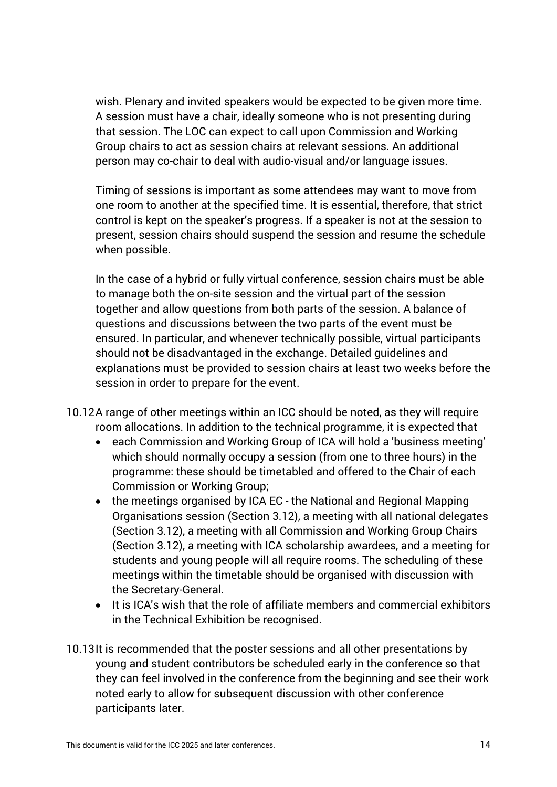wish. Plenary and invited speakers would be expected to be given more time. A session must have a chair, ideally someone who is not presenting during that session. The LOC can expect to call upon Commission and Working Group chairs to act as session chairs at relevant sessions. An additional person may co-chair to deal with audio-visual and/or language issues.

Timing of sessions is important as some attendees may want to move from one room to another at the specified time. It is essential, therefore, that strict control is kept on the speaker's progress. If a speaker is not at the session to present, session chairs should suspend the session and resume the schedule when possible.

In the case of a hybrid or fully virtual conference, session chairs must be able to manage both the on-site session and the virtual part of the session together and allow questions from both parts of the session. A balance of questions and discussions between the two parts of the event must be ensured. In particular, and whenever technically possible, virtual participants should not be disadvantaged in the exchange. Detailed guidelines and explanations must be provided to session chairs at least two weeks before the session in order to prepare for the event.

- 10.12A range of other meetings within an ICC should be noted, as they will require room allocations. In addition to the technical programme, it is expected that
	- each Commission and Working Group of ICA will hold a 'business meeting' which should normally occupy a session (from one to three hours) in the programme: these should be timetabled and offered to the Chair of each Commission or Working Group;
	- the meetings organised by ICA EC the National and Regional Mapping Organisations session (Section 3.12), a meeting with all national delegates (Section 3.12), a meeting with all Commission and Working Group Chairs (Section 3.12), a meeting with ICA scholarship awardees, and a meeting for students and young people will all require rooms. The scheduling of these meetings within the timetable should be organised with discussion with the Secretary-General.
	- It is ICA's wish that the role of affiliate members and commercial exhibitors in the Technical Exhibition be recognised.
- 10.13It is recommended that the poster sessions and all other presentations by young and student contributors be scheduled early in the conference so that they can feel involved in the conference from the beginning and see their work noted early to allow for subsequent discussion with other conference participants later.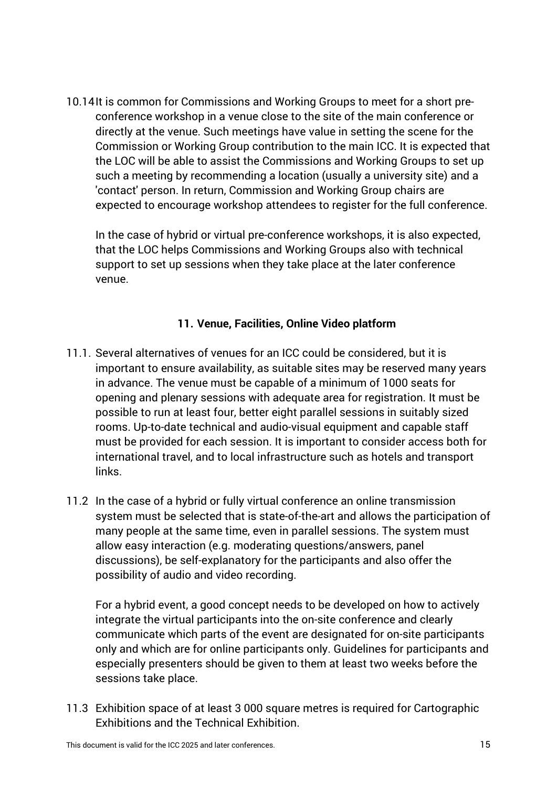10.14It is common for Commissions and Working Groups to meet for a short preconference workshop in a venue close to the site of the main conference or directly at the venue. Such meetings have value in setting the scene for the Commission or Working Group contribution to the main ICC. It is expected that the LOC will be able to assist the Commissions and Working Groups to set up such a meeting by recommending a location (usually a university site) and a 'contact' person. In return, Commission and Working Group chairs are expected to encourage workshop attendees to register for the full conference.

In the case of hybrid or virtual pre-conference workshops, it is also expected, that the LOC helps Commissions and Working Groups also with technical support to set up sessions when they take place at the later conference venue.

#### **11. Venue, Facilities, Online Video platform**

- 11.1. Several alternatives of venues for an ICC could be considered, but it is important to ensure availability, as suitable sites may be reserved many years in advance. The venue must be capable of a minimum of 1000 seats for opening and plenary sessions with adequate area for registration. It must be possible to run at least four, better eight parallel sessions in suitably sized rooms. Up-to-date technical and audio-visual equipment and capable staff must be provided for each session. It is important to consider access both for international travel, and to local infrastructure such as hotels and transport links.
- 11.2 In the case of a hybrid or fully virtual conference an online transmission system must be selected that is state-of-the-art and allows the participation of many people at the same time, even in parallel sessions. The system must allow easy interaction (e.g. moderating questions/answers, panel discussions), be self-explanatory for the participants and also offer the possibility of audio and video recording.

For a hybrid event, a good concept needs to be developed on how to actively integrate the virtual participants into the on-site conference and clearly communicate which parts of the event are designated for on-site participants only and which are for online participants only. Guidelines for participants and especially presenters should be given to them at least two weeks before the sessions take place.

11.3 Exhibition space of at least 3 000 square metres is required for Cartographic Exhibitions and the Technical Exhibition.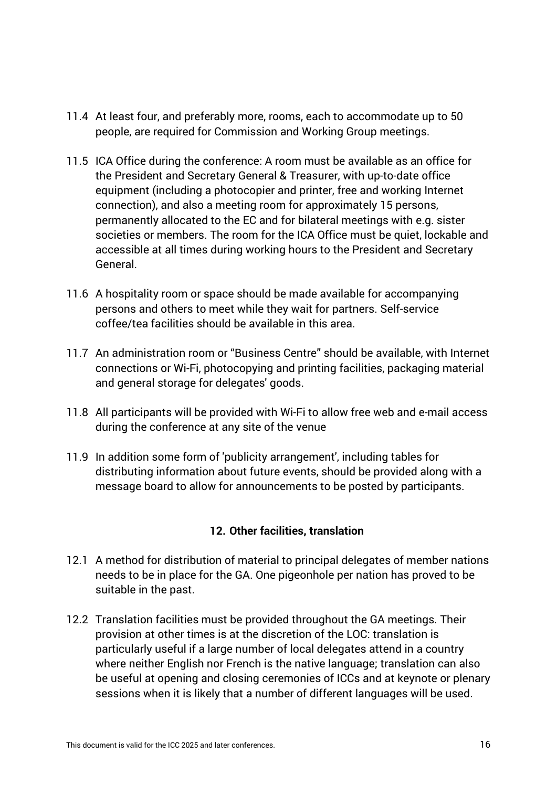- 11.4 At least four, and preferably more, rooms, each to accommodate up to 50 people, are required for Commission and Working Group meetings.
- 11.5 ICA Office during the conference: A room must be available as an office for the President and Secretary General & Treasurer, with up-to-date office equipment (including a photocopier and printer, free and working Internet connection), and also a meeting room for approximately 15 persons, permanently allocated to the EC and for bilateral meetings with e.g. sister societies or members. The room for the ICA Office must be quiet, lockable and accessible at all times during working hours to the President and Secretary General.
- 11.6 A hospitality room or space should be made available for accompanying persons and others to meet while they wait for partners. Self-service coffee/tea facilities should be available in this area.
- 11.7 An administration room or "Business Centre" should be available, with Internet connections or Wi-Fi, photocopying and printing facilities, packaging material and general storage for delegates' goods.
- 11.8 All participants will be provided with Wi-Fi to allow free web and e-mail access during the conference at any site of the venue
- 11.9 In addition some form of 'publicity arrangement', including tables for distributing information about future events, should be provided along with a message board to allow for announcements to be posted by participants.

# **12. Other facilities, translation**

- 12.1 A method for distribution of material to principal delegates of member nations needs to be in place for the GA. One pigeonhole per nation has proved to be suitable in the past.
- 12.2 Translation facilities must be provided throughout the GA meetings. Their provision at other times is at the discretion of the LOC: translation is particularly useful if a large number of local delegates attend in a country where neither English nor French is the native language; translation can also be useful at opening and closing ceremonies of ICCs and at keynote or plenary sessions when it is likely that a number of different languages will be used.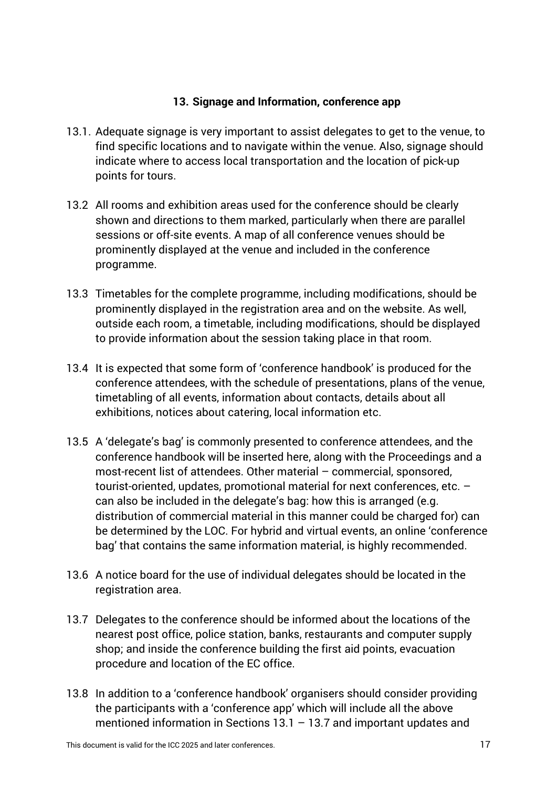#### **13. Signage and Information, conference app**

- 13.1. Adequate signage is very important to assist delegates to get to the venue, to find specific locations and to navigate within the venue. Also, signage should indicate where to access local transportation and the location of pick-up points for tours.
- 13.2 All rooms and exhibition areas used for the conference should be clearly shown and directions to them marked, particularly when there are parallel sessions or off-site events. A map of all conference venues should be prominently displayed at the venue and included in the conference programme.
- 13.3 Timetables for the complete programme, including modifications, should be prominently displayed in the registration area and on the website. As well, outside each room, a timetable, including modifications, should be displayed to provide information about the session taking place in that room.
- 13.4 It is expected that some form of 'conference handbook' is produced for the conference attendees, with the schedule of presentations, plans of the venue, timetabling of all events, information about contacts, details about all exhibitions, notices about catering, local information etc.
- 13.5 A 'delegate's bag' is commonly presented to conference attendees, and the conference handbook will be inserted here, along with the Proceedings and a most-recent list of attendees. Other material – commercial, sponsored, tourist-oriented, updates, promotional material for next conferences, etc. – can also be included in the delegate's bag: how this is arranged (e.g. distribution of commercial material in this manner could be charged for) can be determined by the LOC. For hybrid and virtual events, an online 'conference bag' that contains the same information material, is highly recommended.
- 13.6 A notice board for the use of individual delegates should be located in the registration area.
- 13.7 Delegates to the conference should be informed about the locations of the nearest post office, police station, banks, restaurants and computer supply shop; and inside the conference building the first aid points, evacuation procedure and location of the EC office.
- 13.8 In addition to a 'conference handbook' organisers should consider providing the participants with a 'conference app' which will include all the above mentioned information in Sections 13.1 – 13.7 and important updates and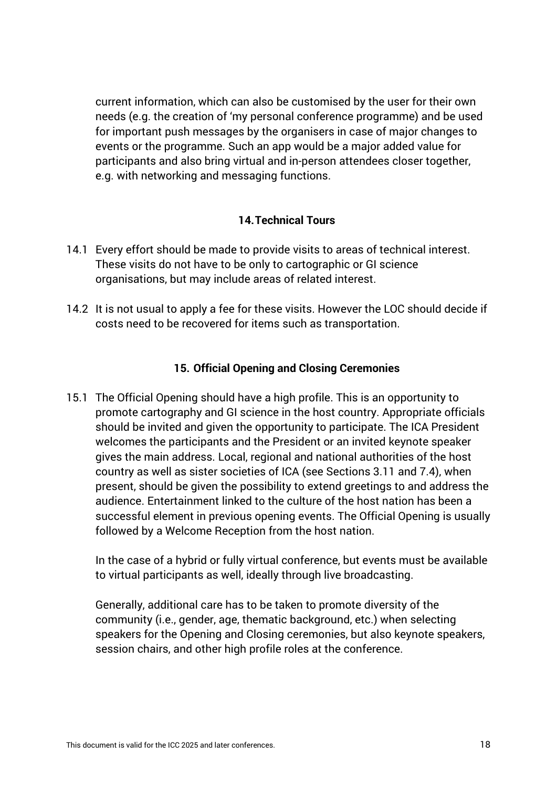current information, which can also be customised by the user for their own needs (e.g. the creation of 'my personal conference programme) and be used for important push messages by the organisers in case of major changes to events or the programme. Such an app would be a major added value for participants and also bring virtual and in-person attendees closer together, e.g. with networking and messaging functions.

#### **14.Technical Tours**

- 14.1 Every effort should be made to provide visits to areas of technical interest. These visits do not have to be only to cartographic or GI science organisations, but may include areas of related interest.
- 14.2 It is not usual to apply a fee for these visits. However the LOC should decide if costs need to be recovered for items such as transportation.

#### **15. Official Opening and Closing Ceremonies**

15.1 The Official Opening should have a high profile. This is an opportunity to promote cartography and GI science in the host country. Appropriate officials should be invited and given the opportunity to participate. The ICA President welcomes the participants and the President or an invited keynote speaker gives the main address. Local, regional and national authorities of the host country as well as sister societies of ICA (see Sections 3.11 and 7.4), when present, should be given the possibility to extend greetings to and address the audience. Entertainment linked to the culture of the host nation has been a successful element in previous opening events. The Official Opening is usually followed by a Welcome Reception from the host nation.

In the case of a hybrid or fully virtual conference, but events must be available to virtual participants as well, ideally through live broadcasting.

Generally, additional care has to be taken to promote diversity of the community (i.e., gender, age, thematic background, etc.) when selecting speakers for the Opening and Closing ceremonies, but also keynote speakers, session chairs, and other high profile roles at the conference.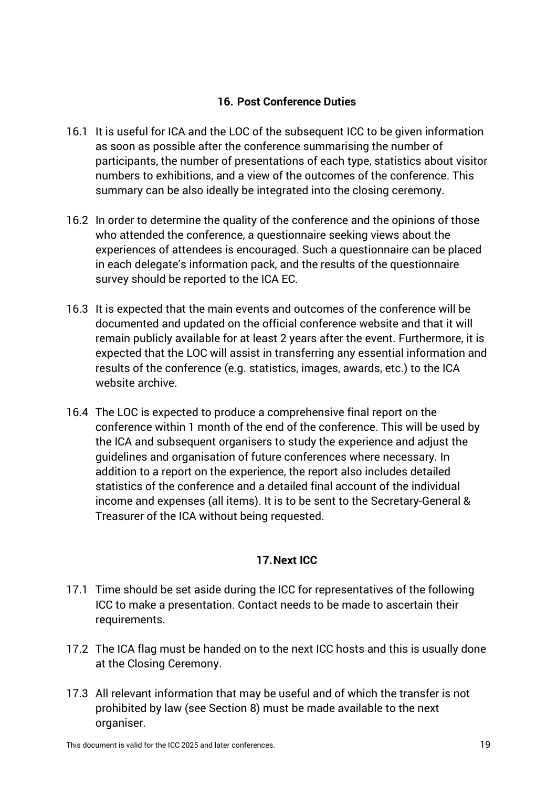#### **16. Post Conference Duties**

- 16.1 It is useful for ICA and the LOC of the subsequent ICC to be given information as soon as possible after the conference summarising the number of participants, the number of presentations of each type, statistics about visitor numbers to exhibitions, and a view of the outcomes of the conference. This summary can be also ideally be integrated into the closing ceremony.
- 16.2 In order to determine the quality of the conference and the opinions of those who attended the conference, a questionnaire seeking views about the experiences of attendees is encouraged. Such a questionnaire can be placed in each delegate's information pack, and the results of the questionnaire survey should be reported to the ICA EC.
- 16.3 It is expected that the main events and outcomes of the conference will be documented and updated on the official conference website and that it will remain publicly available for at least 2 years after the event. Furthermore, it is expected that the LOC will assist in transferring any essential information and results of the conference (e.g. statistics, images, awards, etc.) to the ICA website archive.
- 16.4 The LOC is expected to produce a comprehensive final report on the conference within 1 month of the end of the conference. This will be used by the ICA and subsequent organisers to study the experience and adjust the guidelines and organisation of future conferences where necessary. In addition to a report on the experience, the report also includes detailed statistics of the conference and a detailed final account of the individual income and expenses (all items). It is to be sent to the Secretary-General & Treasurer of the ICA without being requested.

# **17.Next ICC**

- 17.1 Time should be set aside during the ICC for representatives of the following ICC to make a presentation. Contact needs to be made to ascertain their requirements.
- 17.2 The ICA flag must be handed on to the next ICC hosts and this is usually done at the Closing Ceremony.
- 17.3 All relevant information that may be useful and of which the transfer is not prohibited by law (see Section 8) must be made available to the next organiser.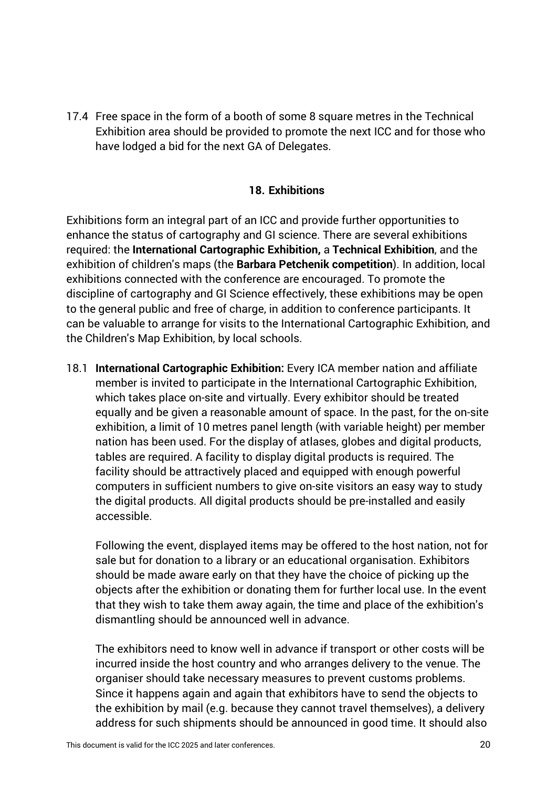17.4 Free space in the form of a booth of some 8 square metres in the Technical Exhibition area should be provided to promote the next ICC and for those who have lodged a bid for the next GA of Delegates.

#### **18. Exhibitions**

Exhibitions form an integral part of an ICC and provide further opportunities to enhance the status of cartography and GI science. There are several exhibitions required: the **International Cartographic Exhibition,** a **Technical Exhibition**, and the exhibition of children's maps (the **Barbara Petchenik competition**). In addition, local exhibitions connected with the conference are encouraged. To promote the discipline of cartography and GI Science effectively, these exhibitions may be open to the general public and free of charge, in addition to conference participants. It can be valuable to arrange for visits to the International Cartographic Exhibition, and the Children's Map Exhibition, by local schools.

18.1 **International Cartographic Exhibition:** Every ICA member nation and affiliate member is invited to participate in the International Cartographic Exhibition, which takes place on-site and virtually. Every exhibitor should be treated equally and be given a reasonable amount of space. In the past, for the on-site exhibition, a limit of 10 metres panel length (with variable height) per member nation has been used. For the display of atlases, globes and digital products, tables are required. A facility to display digital products is required. The facility should be attractively placed and equipped with enough powerful computers in sufficient numbers to give on-site visitors an easy way to study the digital products. All digital products should be pre-installed and easily accessible.

Following the event, displayed items may be offered to the host nation, not for sale but for donation to a library or an educational organisation. Exhibitors should be made aware early on that they have the choice of picking up the objects after the exhibition or donating them for further local use. In the event that they wish to take them away again, the time and place of the exhibition's dismantling should be announced well in advance.

The exhibitors need to know well in advance if transport or other costs will be incurred inside the host country and who arranges delivery to the venue. The organiser should take necessary measures to prevent customs problems. Since it happens again and again that exhibitors have to send the objects to the exhibition by mail (e.g. because they cannot travel themselves), a delivery address for such shipments should be announced in good time. It should also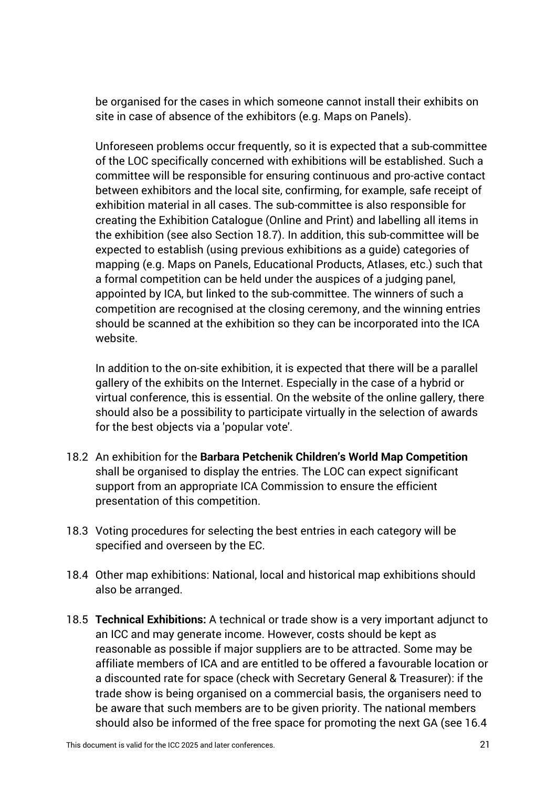be organised for the cases in which someone cannot install their exhibits on site in case of absence of the exhibitors (e.g. Maps on Panels).

Unforeseen problems occur frequently, so it is expected that a sub-committee of the LOC specifically concerned with exhibitions will be established. Such a committee will be responsible for ensuring continuous and pro-active contact between exhibitors and the local site, confirming, for example, safe receipt of exhibition material in all cases. The sub-committee is also responsible for creating the Exhibition Catalogue (Online and Print) and labelling all items in the exhibition (see also Section 18.7). In addition, this sub-committee will be expected to establish (using previous exhibitions as a guide) categories of mapping (e.g. Maps on Panels, Educational Products, Atlases, etc.) such that a formal competition can be held under the auspices of a judging panel, appointed by ICA, but linked to the sub-committee. The winners of such a competition are recognised at the closing ceremony, and the winning entries should be scanned at the exhibition so they can be incorporated into the ICA website.

In addition to the on-site exhibition, it is expected that there will be a parallel gallery of the exhibits on the Internet. Especially in the case of a hybrid or virtual conference, this is essential. On the website of the online gallery, there should also be a possibility to participate virtually in the selection of awards for the best objects via a 'popular vote'.

- 18.2 An exhibition for the **Barbara Petchenik Children's World Map Competition** shall be organised to display the entries. The LOC can expect significant support from an appropriate ICA Commission to ensure the efficient presentation of this competition.
- 18.3 Voting procedures for selecting the best entries in each category will be specified and overseen by the EC.
- 18.4 Other map exhibitions: National, local and historical map exhibitions should also be arranged.
- 18.5 **Technical Exhibitions:** A technical or trade show is a very important adjunct to an ICC and may generate income. However, costs should be kept as reasonable as possible if major suppliers are to be attracted. Some may be affiliate members of ICA and are entitled to be offered a favourable location or a discounted rate for space (check with Secretary General & Treasurer): if the trade show is being organised on a commercial basis, the organisers need to be aware that such members are to be given priority. The national members should also be informed of the free space for promoting the next GA (see 16.4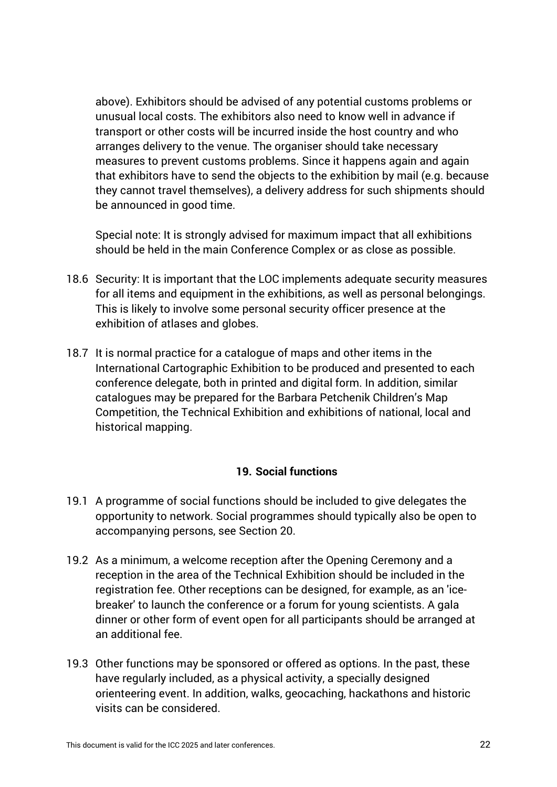above). Exhibitors should be advised of any potential customs problems or unusual local costs. The exhibitors also need to know well in advance if transport or other costs will be incurred inside the host country and who arranges delivery to the venue. The organiser should take necessary measures to prevent customs problems. Since it happens again and again that exhibitors have to send the objects to the exhibition by mail (e.g. because they cannot travel themselves), a delivery address for such shipments should be announced in good time.

Special note: It is strongly advised for maximum impact that all exhibitions should be held in the main Conference Complex or as close as possible.

- 18.6 Security: It is important that the LOC implements adequate security measures for all items and equipment in the exhibitions, as well as personal belongings. This is likely to involve some personal security officer presence at the exhibition of atlases and globes.
- 18.7 It is normal practice for a catalogue of maps and other items in the International Cartographic Exhibition to be produced and presented to each conference delegate, both in printed and digital form. In addition, similar catalogues may be prepared for the Barbara Petchenik Children's Map Competition, the Technical Exhibition and exhibitions of national, local and historical mapping.

#### **19. Social functions**

- 19.1 A programme of social functions should be included to give delegates the opportunity to network. Social programmes should typically also be open to accompanying persons, see Section 20.
- 19.2 As a minimum, a welcome reception after the Opening Ceremony and a reception in the area of the Technical Exhibition should be included in the registration fee. Other receptions can be designed, for example, as an 'icebreaker' to launch the conference or a forum for young scientists. A gala dinner or other form of event open for all participants should be arranged at an additional fee.
- 19.3 Other functions may be sponsored or offered as options. In the past, these have regularly included, as a physical activity, a specially designed orienteering event. In addition, walks, geocaching, hackathons and historic visits can be considered.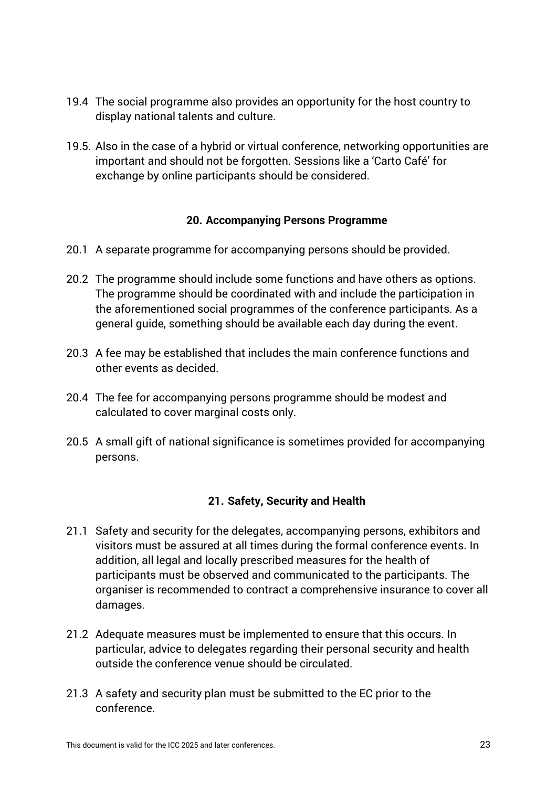- 19.4 The social programme also provides an opportunity for the host country to display national talents and culture.
- 19.5. Also in the case of a hybrid or virtual conference, networking opportunities are important and should not be forgotten. Sessions like a 'Carto Café' for exchange by online participants should be considered.

#### **20. Accompanying Persons Programme**

- 20.1 A separate programme for accompanying persons should be provided.
- 20.2 The programme should include some functions and have others as options. The programme should be coordinated with and include the participation in the aforementioned social programmes of the conference participants. As a general guide, something should be available each day during the event.
- 20.3 A fee may be established that includes the main conference functions and other events as decided.
- 20.4 The fee for accompanying persons programme should be modest and calculated to cover marginal costs only.
- 20.5 A small gift of national significance is sometimes provided for accompanying persons.

#### **21. Safety, Security and Health**

- 21.1 Safety and security for the delegates, accompanying persons, exhibitors and visitors must be assured at all times during the formal conference events. In addition, all legal and locally prescribed measures for the health of participants must be observed and communicated to the participants. The organiser is recommended to contract a comprehensive insurance to cover all damages.
- 21.2 Adequate measures must be implemented to ensure that this occurs. In particular, advice to delegates regarding their personal security and health outside the conference venue should be circulated.
- 21.3 A safety and security plan must be submitted to the EC prior to the conference.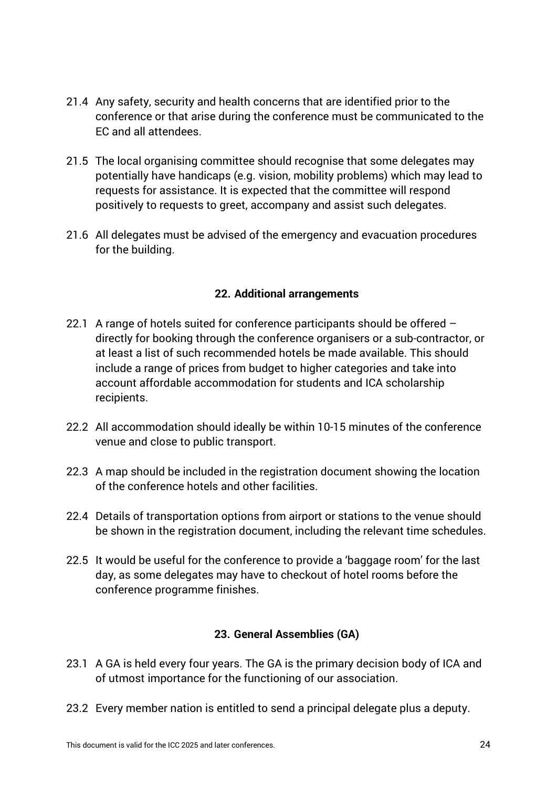- 21.4 Any safety, security and health concerns that are identified prior to the conference or that arise during the conference must be communicated to the EC and all attendees.
- 21.5 The local organising committee should recognise that some delegates may potentially have handicaps (e.g. vision, mobility problems) which may lead to requests for assistance. It is expected that the committee will respond positively to requests to greet, accompany and assist such delegates.
- 21.6 All delegates must be advised of the emergency and evacuation procedures for the building.

# **22. Additional arrangements**

- 22.1 A range of hotels suited for conference participants should be offered directly for booking through the conference organisers or a sub-contractor, or at least a list of such recommended hotels be made available. This should include a range of prices from budget to higher categories and take into account affordable accommodation for students and ICA scholarship recipients.
- 22.2 All accommodation should ideally be within 10-15 minutes of the conference venue and close to public transport.
- 22.3 A map should be included in the registration document showing the location of the conference hotels and other facilities.
- 22.4 Details of transportation options from airport or stations to the venue should be shown in the registration document, including the relevant time schedules.
- 22.5 It would be useful for the conference to provide a 'baggage room' for the last day, as some delegates may have to checkout of hotel rooms before the conference programme finishes.

# **23. General Assemblies (GA)**

- 23.1 A GA is held every four years. The GA is the primary decision body of ICA and of utmost importance for the functioning of our association.
- 23.2 Every member nation is entitled to send a principal delegate plus a deputy.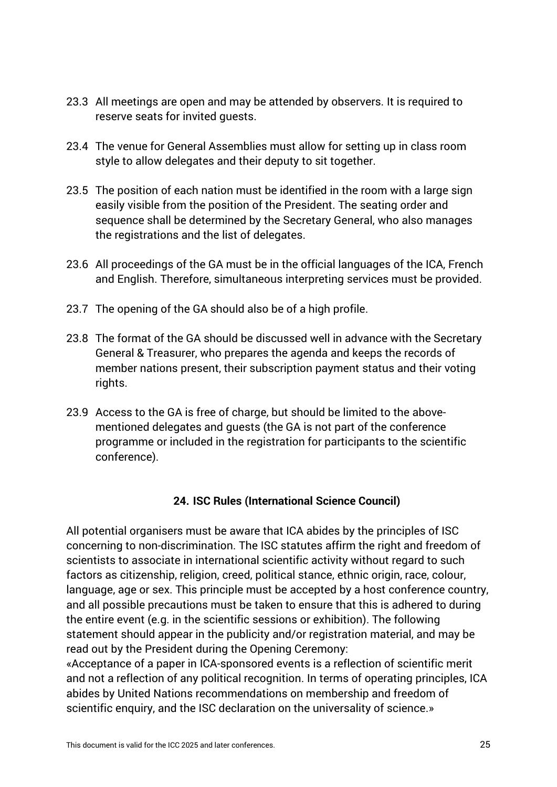- 23.3 All meetings are open and may be attended by observers. It is required to reserve seats for invited guests.
- 23.4 The venue for General Assemblies must allow for setting up in class room style to allow delegates and their deputy to sit together.
- 23.5 The position of each nation must be identified in the room with a large sign easily visible from the position of the President. The seating order and sequence shall be determined by the Secretary General, who also manages the registrations and the list of delegates.
- 23.6 All proceedings of the GA must be in the official languages of the ICA, French and English. Therefore, simultaneous interpreting services must be provided.
- 23.7 The opening of the GA should also be of a high profile.
- 23.8 The format of the GA should be discussed well in advance with the Secretary General & Treasurer, who prepares the agenda and keeps the records of member nations present, their subscription payment status and their voting rights.
- 23.9 Access to the GA is free of charge, but should be limited to the abovementioned delegates and guests (the GA is not part of the conference programme or included in the registration for participants to the scientific conference).

#### **24. ISC Rules (International Science Council)**

All potential organisers must be aware that ICA abides by the principles of ISC concerning to non-discrimination. The ISC statutes affirm the right and freedom of scientists to associate in international scientific activity without regard to such factors as citizenship, religion, creed, political stance, ethnic origin, race, colour, language, age or sex. This principle must be accepted by a host conference country, and all possible precautions must be taken to ensure that this is adhered to during the entire event (e.g. in the scientific sessions or exhibition). The following statement should appear in the publicity and/or registration material, and may be read out by the President during the Opening Ceremony:

«Acceptance of a paper in ICA-sponsored events is a reflection of scientific merit and not a reflection of any political recognition. In terms of operating principles, ICA abides by United Nations recommendations on membership and freedom of scientific enquiry, and the ISC declaration on the universality of science.»